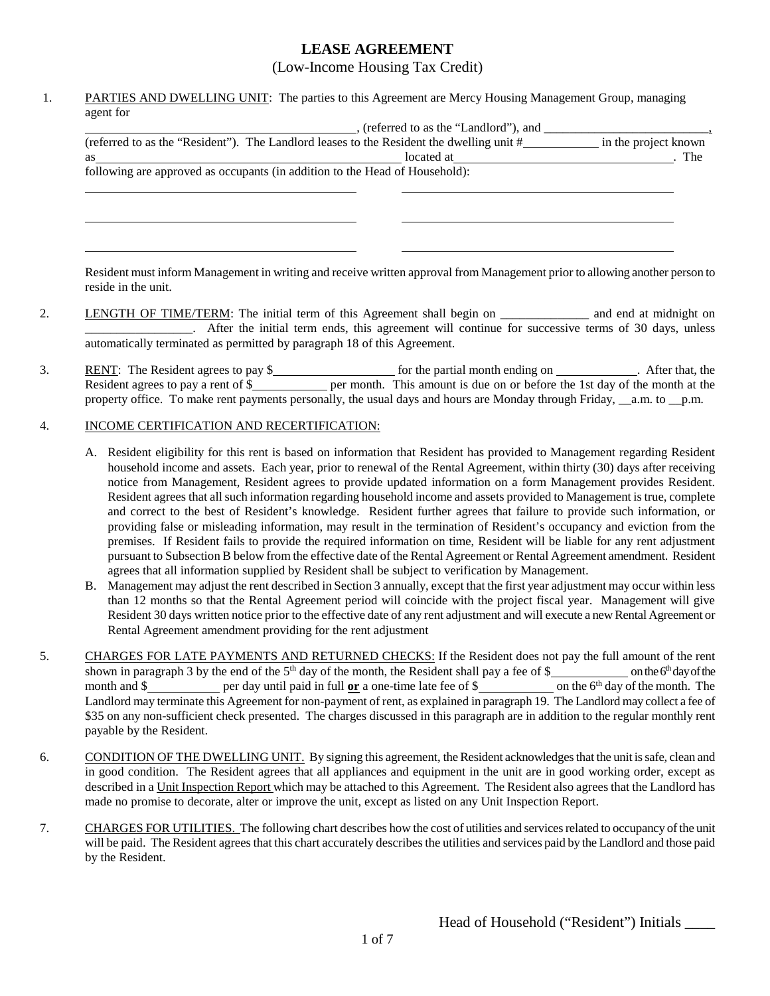## **LEASE AGREEMENT**

(Low-Income Housing Tax Credit)

1. PARTIES AND DWELLING UNIT: The parties to this Agreement are Mercy Housing Management Group, managing agent for

|                                                                             | (referred to as the "Landlord"), and                                                     |                      |  |  |  |  |
|-----------------------------------------------------------------------------|------------------------------------------------------------------------------------------|----------------------|--|--|--|--|
|                                                                             | (referred to as the "Resident"). The Landlord leases to the Resident the dwelling unit # | in the project known |  |  |  |  |
| as                                                                          | located at                                                                               | The                  |  |  |  |  |
| following are approved as occupants (in addition to the Head of Household): |                                                                                          |                      |  |  |  |  |
|                                                                             |                                                                                          |                      |  |  |  |  |

Resident must inform Management in writing and receive written approval from Management prior to allowing another person to reside in the unit.

- 2. LENGTH OF TIME/TERM: The initial term of this Agreement shall begin on and end at midnight on \_\_\_\_\_\_\_\_\_\_\_\_\_\_\_\_\_. After the initial term ends, this agreement will continue for successive terms of 30 days, unless automatically terminated as permitted by paragraph 18 of this Agreement.
- 3. RENT: The Resident agrees to pay  $\frac{1}{2}$  for the partial month ending on  $\frac{1}{2}$ . After that, the Resident agrees to pay a rent of \$\_\_\_\_\_\_\_\_\_\_\_\_\_ per month. This amount is due on or before the 1st day of the month at the property office. To make rent payments personally, the usual days and hours are Monday through Friday, \_\_a.m. to \_\_p.m.

## 4. INCOME CERTIFICATION AND RECERTIFICATION:

- A. Resident eligibility for this rent is based on information that Resident has provided to Management regarding Resident household income and assets. Each year, prior to renewal of the Rental Agreement, within thirty (30) days after receiving notice from Management, Resident agrees to provide updated information on a form Management provides Resident. Resident agrees that all such information regarding household income and assets provided to Management is true, complete and correct to the best of Resident's knowledge. Resident further agrees that failure to provide such information, or providing false or misleading information, may result in the termination of Resident's occupancy and eviction from the premises. If Resident fails to provide the required information on time, Resident will be liable for any rent adjustment pursuant to Subsection B below from the effective date of the Rental Agreement or Rental Agreement amendment. Resident agrees that all information supplied by Resident shall be subject to verification by Management.
- B. Management may adjust the rent described in Section 3 annually, except that the first year adjustment may occur within less than 12 months so that the Rental Agreement period will coincide with the project fiscal year. Management will give Resident 30 days written notice prior to the effective date of any rent adjustment and will execute a new Rental Agreement or Rental Agreement amendment providing for the rent adjustment
- 5. CHARGES FOR LATE PAYMENTS AND RETURNED CHECKS: If the Resident does not pay the full amount of the rent shown in paragraph 3 by the end of the 5th day of the month, the Resident shall pay a fee of \$ on the 6th day of the month and \$ per day until paid in full **or** a one-time late fee of \$ on the 6<sup>th</sup> day of the month. The Landlord may terminate this Agreement for non-payment of rent, as explained in paragraph 19. The Landlord may collect a fee of \$35 on any non-sufficient check presented. The charges discussed in this paragraph are in addition to the regular monthly rent payable by the Resident.
- 6. CONDITION OF THE DWELLING UNIT. By signing this agreement, the Resident acknowledges that the unit is safe, clean and in good condition. The Resident agrees that all appliances and equipment in the unit are in good working order, except as described in a Unit Inspection Report which may be attached to this Agreement. The Resident also agrees that the Landlord has made no promise to decorate, alter or improve the unit, except as listed on any Unit Inspection Report.
- 7. CHARGES FOR UTILITIES. The following chart describes how the cost of utilities and services related to occupancy of the unit will be paid. The Resident agrees that this chart accurately describes the utilities and services paid by the Landlord and those paid by the Resident.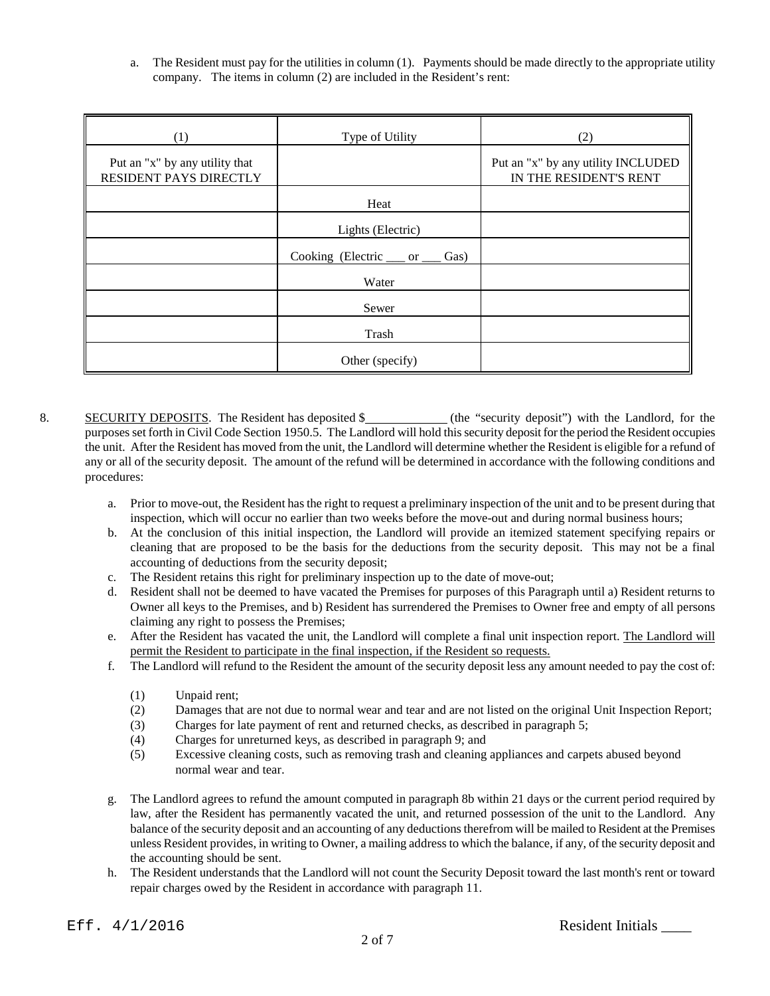a. The Resident must pay for the utilities in column (1). Payments should be made directly to the appropriate utility company. The items in column (2) are included in the Resident's rent:

| (1)                                                      | Type of Utility                    | (2)                                                          |
|----------------------------------------------------------|------------------------------------|--------------------------------------------------------------|
| Put an "x" by any utility that<br>RESIDENT PAYS DIRECTLY |                                    | Put an "x" by any utility INCLUDED<br>IN THE RESIDENT'S RENT |
|                                                          | Heat                               |                                                              |
|                                                          | Lights (Electric)                  |                                                              |
|                                                          | Cooking (Electric ___ or _<br>Gas) |                                                              |
|                                                          | Water                              |                                                              |
|                                                          | Sewer                              |                                                              |
|                                                          | Trash                              |                                                              |
|                                                          | Other (specify)                    |                                                              |

- 8. SECURITY DEPOSITS. The Resident has deposited \$ (the "security deposit") with the Landlord, for the purposes set forth in Civil Code Section 1950.5. The Landlord will hold this security deposit for the period the Resident occupies the unit. After the Resident has moved from the unit, the Landlord will determine whether the Resident is eligible for a refund of any or all of the security deposit. The amount of the refund will be determined in accordance with the following conditions and procedures:
	- a. Prior to move-out, the Resident has the right to request a preliminary inspection of the unit and to be present during that inspection, which will occur no earlier than two weeks before the move-out and during normal business hours;
	- b. At the conclusion of this initial inspection, the Landlord will provide an itemized statement specifying repairs or cleaning that are proposed to be the basis for the deductions from the security deposit. This may not be a final accounting of deductions from the security deposit;
	- c. The Resident retains this right for preliminary inspection up to the date of move-out;
	- d. Resident shall not be deemed to have vacated the Premises for purposes of this Paragraph until a) Resident returns to Owner all keys to the Premises, and b) Resident has surrendered the Premises to Owner free and empty of all persons claiming any right to possess the Premises;
	- e. After the Resident has vacated the unit, the Landlord will complete a final unit inspection report. The Landlord will permit the Resident to participate in the final inspection, if the Resident so requests.
	- f. The Landlord will refund to the Resident the amount of the security deposit less any amount needed to pay the cost of:
		- (1) Unpaid rent;
		- (2) Damages that are not due to normal wear and tear and are not listed on the original Unit Inspection Report;
		- (3) Charges for late payment of rent and returned checks, as described in paragraph 5;
		- (4) Charges for unreturned keys, as described in paragraph 9; and
		- (5) Excessive cleaning costs, such as removing trash and cleaning appliances and carpets abused beyond normal wear and tear.
	- g. The Landlord agrees to refund the amount computed in paragraph 8b within 21 days or the current period required by law, after the Resident has permanently vacated the unit, and returned possession of the unit to the Landlord. Any balance of the security deposit and an accounting of any deductions therefrom will be mailed to Resident at the Premises unless Resident provides, in writing to Owner, a mailing address to which the balance, if any, of the security deposit and the accounting should be sent.
	- h. The Resident understands that the Landlord will not count the Security Deposit toward the last month's rent or toward repair charges owed by the Resident in accordance with paragraph 11.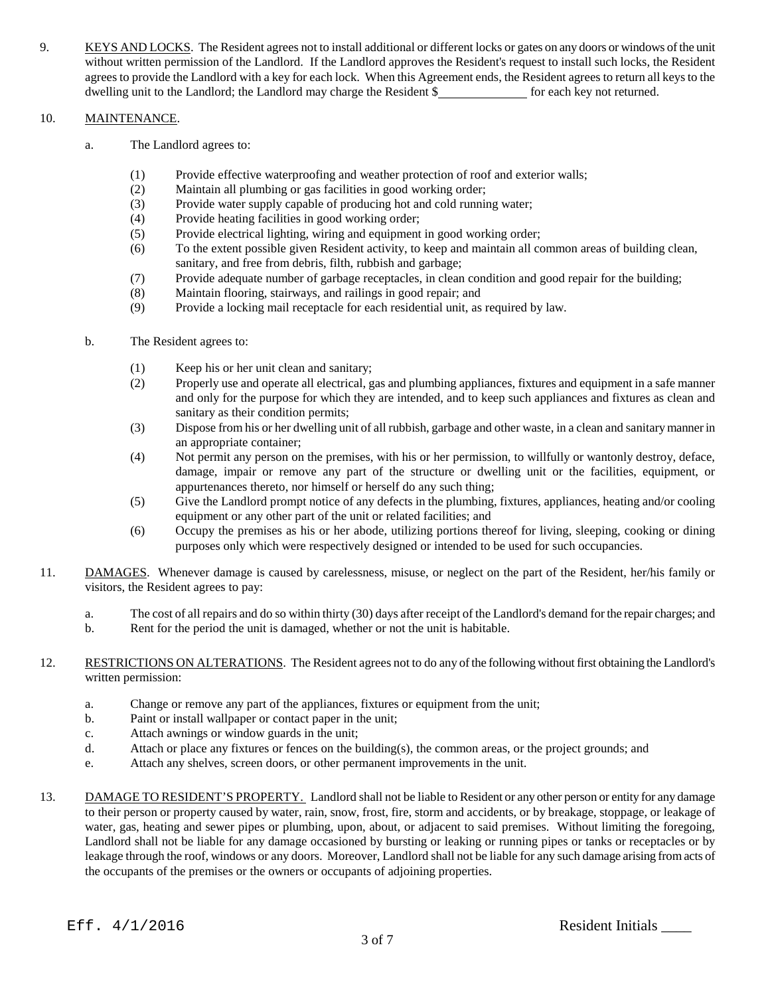9. KEYS AND LOCKS. The Resident agrees not to install additional or different locks or gates on any doors or windows of the unit without written permission of the Landlord. If the Landlord approves the Resident's request to install such locks, the Resident agrees to provide the Landlord with a key for each lock. When this Agreement ends, the Resident agrees to return all keys to the dwelling unit to the Landlord; the Landlord may charge the Resident \$ for each key not returned.

## 10. MAINTENANCE.

- a. The Landlord agrees to:
	- (1) Provide effective waterproofing and weather protection of roof and exterior walls;
	- (2) Maintain all plumbing or gas facilities in good working order;
	- (3) Provide water supply capable of producing hot and cold running water;
	- (4) Provide heating facilities in good working order;
	- (5) Provide electrical lighting, wiring and equipment in good working order;
	- (6) To the extent possible given Resident activity, to keep and maintain all common areas of building clean, sanitary, and free from debris, filth, rubbish and garbage;
	- (7) Provide adequate number of garbage receptacles, in clean condition and good repair for the building;
	- (8) Maintain flooring, stairways, and railings in good repair; and
	- (9) Provide a locking mail receptacle for each residential unit, as required by law.
- b. The Resident agrees to:
	- (1) Keep his or her unit clean and sanitary;
	- (2) Properly use and operate all electrical, gas and plumbing appliances, fixtures and equipment in a safe manner and only for the purpose for which they are intended, and to keep such appliances and fixtures as clean and sanitary as their condition permits;
	- (3) Dispose from his or her dwelling unit of all rubbish, garbage and other waste, in a clean and sanitary mannerin an appropriate container;
	- (4) Not permit any person on the premises, with his or her permission, to willfully or wantonly destroy, deface, damage, impair or remove any part of the structure or dwelling unit or the facilities, equipment, or appurtenances thereto, nor himself or herself do any such thing;
	- (5) Give the Landlord prompt notice of any defects in the plumbing, fixtures, appliances, heating and/or cooling equipment or any other part of the unit or related facilities; and
	- (6) Occupy the premises as his or her abode, utilizing portions thereof for living, sleeping, cooking or dining purposes only which were respectively designed or intended to be used for such occupancies.
- 11. DAMAGES. Whenever damage is caused by carelessness, misuse, or neglect on the part of the Resident, her/his family or visitors, the Resident agrees to pay:
	- a. The cost of all repairs and do so within thirty (30) days after receipt of the Landlord's demand for the repair charges; and
	- b. Rent for the period the unit is damaged, whether or not the unit is habitable.
- 12. RESTRICTIONS ON ALTERATIONS. The Resident agrees not to do any of the following without first obtaining the Landlord's written permission:
	- a. Change or remove any part of the appliances, fixtures or equipment from the unit;
	- b. Paint or install wallpaper or contact paper in the unit;
	- c. Attach awnings or window guards in the unit;
	- d. Attach or place any fixtures or fences on the building(s), the common areas, or the project grounds; and
	- e. Attach any shelves, screen doors, or other permanent improvements in the unit.
- 13. DAMAGE TO RESIDENT'S PROPERTY. Landlord shall not be liable to Resident or any other person or entity for any damage to their person or property caused by water, rain, snow, frost, fire, storm and accidents, or by breakage, stoppage, or leakage of water, gas, heating and sewer pipes or plumbing, upon, about, or adjacent to said premises. Without limiting the foregoing, Landlord shall not be liable for any damage occasioned by bursting or leaking or running pipes or tanks or receptacles or by leakage through the roof, windows or any doors. Moreover, Landlord shall not be liable for any such damage arising from acts of the occupants of the premises or the owners or occupants of adjoining properties.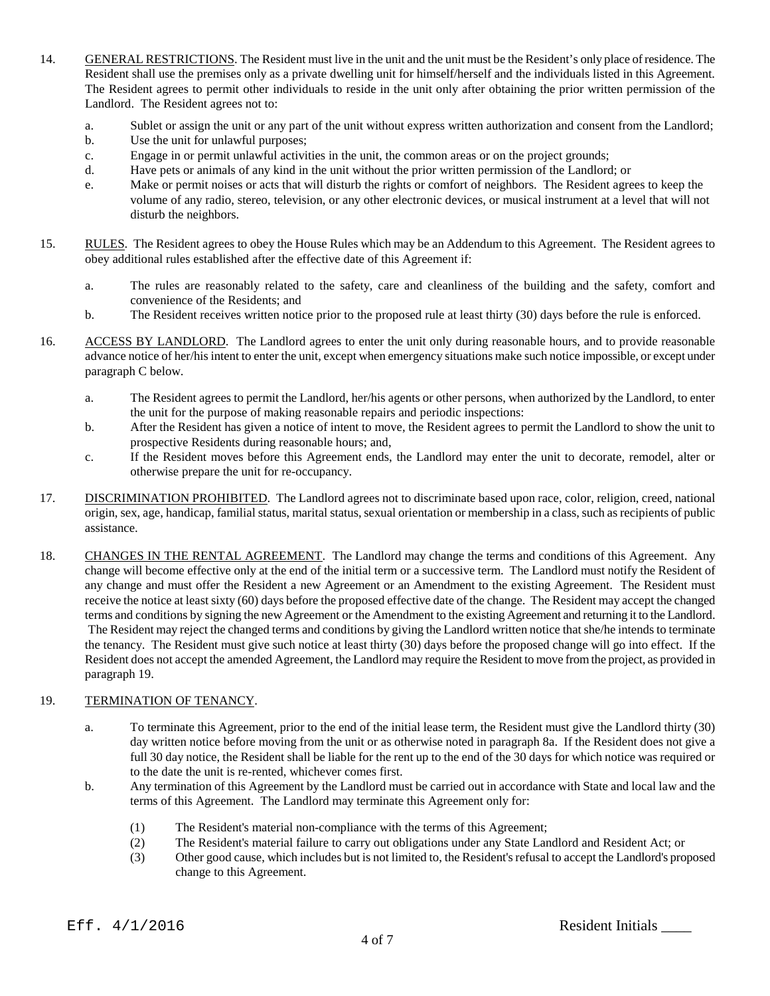- 14. GENERAL RESTRICTIONS. The Resident must live in the unit and the unit must be the Resident's only place ofresidence. The Resident shall use the premises only as a private dwelling unit for himself/herself and the individuals listed in this Agreement. The Resident agrees to permit other individuals to reside in the unit only after obtaining the prior written permission of the Landlord. The Resident agrees not to:
	- a. Sublet or assign the unit or any part of the unit without express written authorization and consent from the Landlord;
	- b. Use the unit for unlawful purposes;
	- c. Engage in or permit unlawful activities in the unit, the common areas or on the project grounds;
	- d. Have pets or animals of any kind in the unit without the prior written permission of the Landlord; or
	- e. Make or permit noises or acts that will disturb the rights or comfort of neighbors. The Resident agrees to keep the volume of any radio, stereo, television, or any other electronic devices, or musical instrument at a level that will not disturb the neighbors.
- 15. RULES. The Resident agrees to obey the House Rules which may be an Addendum to this Agreement. The Resident agrees to obey additional rules established after the effective date of this Agreement if:
	- a. The rules are reasonably related to the safety, care and cleanliness of the building and the safety, comfort and convenience of the Residents; and
	- b. The Resident receives written notice prior to the proposed rule at least thirty (30) days before the rule is enforced.
- 16. ACCESS BY LANDLORD. The Landlord agrees to enter the unit only during reasonable hours, and to provide reasonable advance notice of her/his intent to enter the unit, except when emergency situations make such notice impossible, or except under paragraph C below.
	- a. The Resident agrees to permit the Landlord, her/his agents or other persons, when authorized by the Landlord, to enter the unit for the purpose of making reasonable repairs and periodic inspections:
	- b. After the Resident has given a notice of intent to move, the Resident agrees to permit the Landlord to show the unit to prospective Residents during reasonable hours; and,
	- c. If the Resident moves before this Agreement ends, the Landlord may enter the unit to decorate, remodel, alter or otherwise prepare the unit for re-occupancy.
- 17. DISCRIMINATION PROHIBITED. The Landlord agrees not to discriminate based upon race, color, religion, creed, national origin, sex, age, handicap, familial status, marital status, sexual orientation or membership in a class, such as recipients of public assistance.
- 18. CHANGES IN THE RENTAL AGREEMENT. The Landlord may change the terms and conditions of this Agreement. Any change will become effective only at the end of the initial term or a successive term. The Landlord must notify the Resident of any change and must offer the Resident a new Agreement or an Amendment to the existing Agreement. The Resident must receive the notice at least sixty (60) days before the proposed effective date of the change. The Resident may accept the changed terms and conditions by signing the new Agreement or the Amendment to the existing Agreement and returning it to the Landlord. The Resident may reject the changed terms and conditions by giving the Landlord written notice that she/he intends to terminate the tenancy. The Resident must give such notice at least thirty (30) days before the proposed change will go into effect. If the Resident does not accept the amended Agreement, the Landlord may require the Resident to move from the project, as provided in paragraph 19.

## 19. TERMINATION OF TENANCY.

- a. To terminate this Agreement, prior to the end of the initial lease term, the Resident must give the Landlord thirty (30) day written notice before moving from the unit or as otherwise noted in paragraph 8a. If the Resident does not give a full 30 day notice, the Resident shall be liable for the rent up to the end of the 30 days for which notice was required or to the date the unit is re-rented, whichever comes first.
- b. Any termination of this Agreement by the Landlord must be carried out in accordance with State and local law and the terms of this Agreement. The Landlord may terminate this Agreement only for:
	- (1) The Resident's material non-compliance with the terms of this Agreement;
	- (2) The Resident's material failure to carry out obligations under any State Landlord and Resident Act; or
	- (3) Other good cause, which includes but is not limited to, the Resident's refusal to accept the Landlord's proposed change to this Agreement.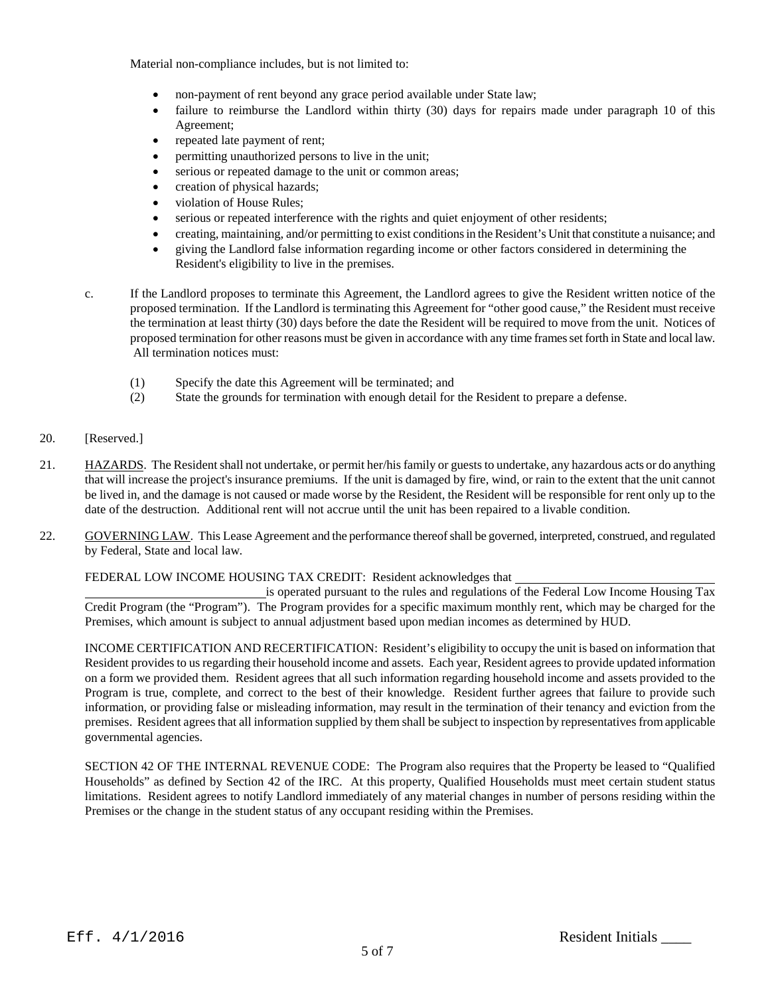Material non-compliance includes, but is not limited to:

- non-payment of rent beyond any grace period available under State law;
- failure to reimburse the Landlord within thirty (30) days for repairs made under paragraph 10 of this Agreement;
- repeated late payment of rent;
- permitting unauthorized persons to live in the unit;
- serious or repeated damage to the unit or common areas;
- creation of physical hazards;
- violation of House Rules;
- serious or repeated interference with the rights and quiet enjoyment of other residents;
- creating, maintaining, and/or permitting to exist conditions in the Resident's Unit that constitute a nuisance; and
- giving the Landlord false information regarding income or other factors considered in determining the Resident's eligibility to live in the premises.
- c. If the Landlord proposes to terminate this Agreement, the Landlord agrees to give the Resident written notice of the proposed termination. If the Landlord is terminating this Agreement for "other good cause," the Resident must receive the termination at least thirty (30) days before the date the Resident will be required to move from the unit. Notices of proposed termination for other reasons must be given in accordance with any time frames set forth in State and local law. All termination notices must:
	- (1) Specify the date this Agreement will be terminated; and
	- (2) State the grounds for termination with enough detail for the Resident to prepare a defense.
- 20. [Reserved.]
- 21. HAZARDS. The Resident shall not undertake, or permit her/his family or guests to undertake, any hazardous acts or do anything that will increase the project's insurance premiums. If the unit is damaged by fire, wind, or rain to the extent that the unit cannot be lived in, and the damage is not caused or made worse by the Resident, the Resident will be responsible for rent only up to the date of the destruction. Additional rent will not accrue until the unit has been repaired to a livable condition.
- 22. GOVERNING LAW. This Lease Agreement and the performance thereof shall be governed, interpreted, construed, and regulated by Federal, State and local law.

FEDERAL LOW INCOME HOUSING TAX CREDIT: Resident acknowledges that

is operated pursuant to the rules and regulations of the Federal Low Income Housing Tax Credit Program (the "Program"). The Program provides for a specific maximum monthly rent, which may be charged for the Premises, which amount is subject to annual adjustment based upon median incomes as determined by HUD.

INCOME CERTIFICATION AND RECERTIFICATION: Resident's eligibility to occupy the unit is based on information that Resident provides to us regarding their household income and assets. Each year, Resident agrees to provide updated information on a form we provided them. Resident agrees that all such information regarding household income and assets provided to the Program is true, complete, and correct to the best of their knowledge. Resident further agrees that failure to provide such information, or providing false or misleading information, may result in the termination of their tenancy and eviction from the premises. Resident agrees that all information supplied by them shall be subject to inspection by representatives from applicable governmental agencies.

SECTION 42 OF THE INTERNAL REVENUE CODE: The Program also requires that the Property be leased to "Qualified Households" as defined by Section 42 of the IRC. At this property, Qualified Households must meet certain student status limitations. Resident agrees to notify Landlord immediately of any material changes in number of persons residing within the Premises or the change in the student status of any occupant residing within the Premises.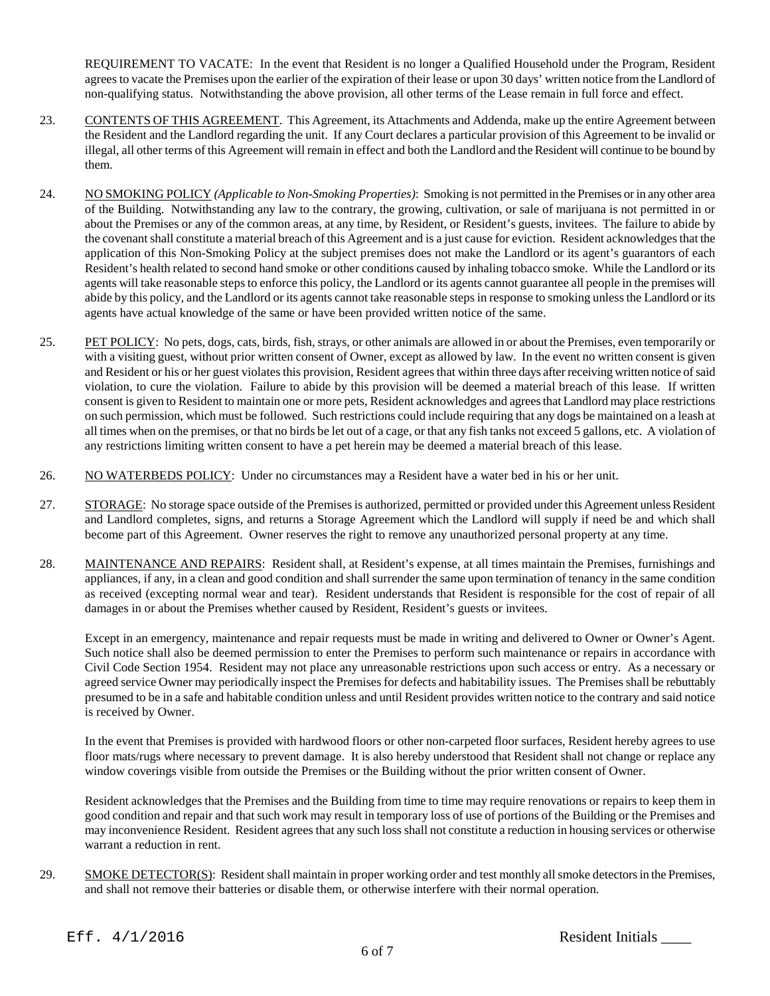REQUIREMENT TO VACATE: In the event that Resident is no longer a Qualified Household under the Program, Resident agrees to vacate the Premises upon the earlier of the expiration of their lease or upon 30 days' written notice from the Landlord of non-qualifying status. Notwithstanding the above provision, all other terms of the Lease remain in full force and effect.

- 23. CONTENTS OF THIS AGREEMENT. This Agreement, its Attachments and Addenda, make up the entire Agreement between the Resident and the Landlord regarding the unit. If any Court declares a particular provision of this Agreement to be invalid or illegal, all other terms of this Agreement will remain in effect and both the Landlord and the Resident will continue to be bound by them.
- 24. NO SMOKING POLICY *(Applicable to Non-Smoking Properties)*: Smoking is not permitted in the Premises or in any other area of the Building. Notwithstanding any law to the contrary, the growing, cultivation, or sale of marijuana is not permitted in or about the Premises or any of the common areas, at any time, by Resident, or Resident's guests, invitees. The failure to abide by the covenant shall constitute a material breach of this Agreement and is a just cause for eviction. Resident acknowledges that the application of this Non-Smoking Policy at the subject premises does not make the Landlord or its agent's guarantors of each Resident's health related to second hand smoke or other conditions caused by inhaling tobacco smoke. While the Landlord or its agents will take reasonable steps to enforce this policy, the Landlord or its agents cannot guarantee all people in the premises will abide by this policy, and the Landlord or its agents cannot take reasonable steps in response to smoking unless the Landlord or its agents have actual knowledge of the same or have been provided written notice of the same.
- 25. PET POLICY: No pets, dogs, cats, birds, fish, strays, or other animals are allowed in or about the Premises, even temporarily or with a visiting guest, without prior written consent of Owner, except as allowed by law. In the event no written consent is given and Resident or his or her guest violates this provision, Resident agrees that within three days after receiving written notice of said violation, to cure the violation. Failure to abide by this provision will be deemed a material breach of this lease. If written consent is given to Resident to maintain one or more pets, Resident acknowledges and agrees that Landlord may place restrictions on such permission, which must be followed. Such restrictions could include requiring that any dogs be maintained on a leash at all times when on the premises, or that no birds be let out of a cage, or that any fish tanks not exceed 5 gallons, etc. A violation of any restrictions limiting written consent to have a pet herein may be deemed a material breach of this lease.
- 26. NO WATERBEDS POLICY: Under no circumstances may a Resident have a water bed in his or her unit.
- 27. STORAGE: No storage space outside of the Premises is authorized, permitted or provided under this Agreement unless Resident and Landlord completes, signs, and returns a Storage Agreement which the Landlord will supply if need be and which shall become part of this Agreement. Owner reserves the right to remove any unauthorized personal property at any time.
- 28. MAINTENANCE AND REPAIRS: Resident shall, at Resident's expense, at all times maintain the Premises, furnishings and appliances, if any, in a clean and good condition and shall surrender the same upon termination of tenancy in the same condition as received (excepting normal wear and tear). Resident understands that Resident is responsible for the cost of repair of all damages in or about the Premises whether caused by Resident, Resident's guests or invitees.

Except in an emergency, maintenance and repair requests must be made in writing and delivered to Owner or Owner's Agent. Such notice shall also be deemed permission to enter the Premises to perform such maintenance or repairs in accordance with Civil Code Section 1954. Resident may not place any unreasonable restrictions upon such access or entry. As a necessary or agreed service Owner may periodically inspect the Premises for defects and habitability issues. The Premises shall be rebuttably presumed to be in a safe and habitable condition unless and until Resident provides written notice to the contrary and said notice is received by Owner.

In the event that Premises is provided with hardwood floors or other non-carpeted floor surfaces, Resident hereby agrees to use floor mats/rugs where necessary to prevent damage. It is also hereby understood that Resident shall not change or replace any window coverings visible from outside the Premises or the Building without the prior written consent of Owner.

Resident acknowledges that the Premises and the Building from time to time may require renovations or repairs to keep them in good condition and repair and that such work may result in temporary loss of use of portions of the Building or the Premises and may inconvenience Resident. Resident agrees that any such loss shall not constitute a reduction in housing services or otherwise warrant a reduction in rent.

29. SMOKE DETECTOR(S): Resident shall maintain in proper working order and test monthly all smoke detectors in the Premises, and shall not remove their batteries or disable them, or otherwise interfere with their normal operation.